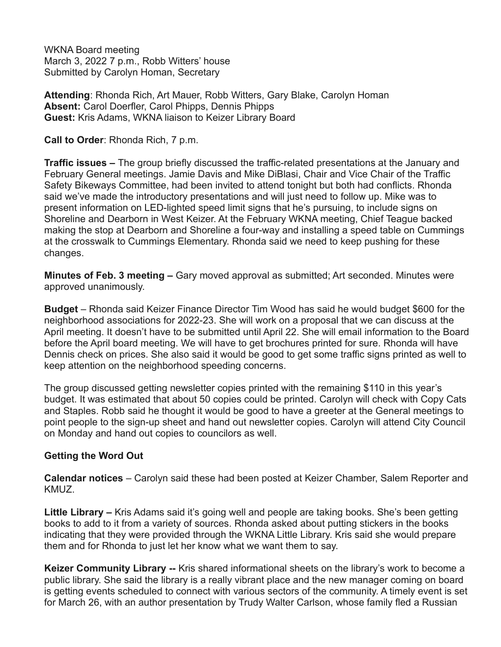WKNA Board meeting March 3, 2022 7 p.m., Robb Witters' house Submitted by Carolyn Homan, Secretary

**Attending**: Rhonda Rich, Art Mauer, Robb Witters, Gary Blake, Carolyn Homan **Absent:** Carol Doerfler, Carol Phipps, Dennis Phipps **Guest:** Kris Adams, WKNA liaison to Keizer Library Board

**Call to Order**: Rhonda Rich, 7 p.m.

**Traffic issues –** The group briefly discussed the traffic-related presentations at the January and February General meetings. Jamie Davis and Mike DiBlasi, Chair and Vice Chair of the Traffic Safety Bikeways Committee, had been invited to attend tonight but both had conflicts. Rhonda said we've made the introductory presentations and will just need to follow up. Mike was to present information on LED-lighted speed limit signs that he's pursuing, to include signs on Shoreline and Dearborn in West Keizer. At the February WKNA meeting, Chief Teague backed making the stop at Dearborn and Shoreline a four-way and installing a speed table on Cummings at the crosswalk to Cummings Elementary. Rhonda said we need to keep pushing for these changes.

**Minutes of Feb. 3 meeting –** Gary moved approval as submitted; Art seconded. Minutes were approved unanimously.

**Budget** – Rhonda said Keizer Finance Director Tim Wood has said he would budget \$600 for the neighborhood associations for 2022-23. She will work on a proposal that we can discuss at the April meeting. It doesn't have to be submitted until April 22. She will email information to the Board before the April board meeting. We will have to get brochures printed for sure. Rhonda will have Dennis check on prices. She also said it would be good to get some traffic signs printed as well to keep attention on the neighborhood speeding concerns.

The group discussed getting newsletter copies printed with the remaining \$110 in this year's budget. It was estimated that about 50 copies could be printed. Carolyn will check with Copy Cats and Staples. Robb said he thought it would be good to have a greeter at the General meetings to point people to the sign-up sheet and hand out newsletter copies. Carolyn will attend City Council on Monday and hand out copies to councilors as well.

## **Getting the Word Out**

**Calendar notices** – Carolyn said these had been posted at Keizer Chamber, Salem Reporter and KMUZ.

**Little Library –** Kris Adams said it's going well and people are taking books. She's been getting books to add to it from a variety of sources. Rhonda asked about putting stickers in the books indicating that they were provided through the WKNA Little Library. Kris said she would prepare them and for Rhonda to just let her know what we want them to say.

**Keizer Community Library --** Kris shared informational sheets on the library's work to become a public library. She said the library is a really vibrant place and the new manager coming on board is getting events scheduled to connect with various sectors of the community. A timely event is set for March 26, with an author presentation by Trudy Walter Carlson, whose family fled a Russian